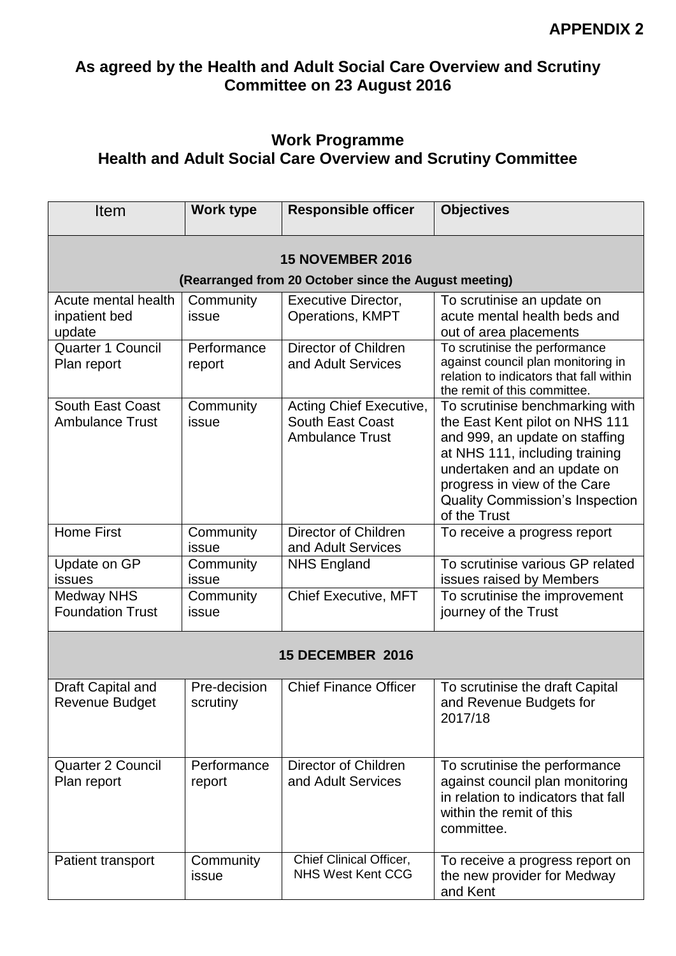## **As agreed by the Health and Adult Social Care Overview and Scrutiny Committee on 23 August 2016**

## **Work Programme Health and Adult Social Care Overview and Scrutiny Committee**

| Item                                                                             | <b>Work type</b>         | <b>Responsible officer</b>                                                   | <b>Objectives</b>                                                                                                                                                                                                                                              |  |
|----------------------------------------------------------------------------------|--------------------------|------------------------------------------------------------------------------|----------------------------------------------------------------------------------------------------------------------------------------------------------------------------------------------------------------------------------------------------------------|--|
| <b>15 NOVEMBER 2016</b><br>(Rearranged from 20 October since the August meeting) |                          |                                                                              |                                                                                                                                                                                                                                                                |  |
| Acute mental health<br>inpatient bed<br>update                                   | Community<br>issue       | Executive Director,<br><b>Operations, KMPT</b>                               | To scrutinise an update on<br>acute mental health beds and<br>out of area placements                                                                                                                                                                           |  |
| Quarter 1 Council<br>Plan report                                                 | Performance<br>report    | <b>Director of Children</b><br>and Adult Services                            | To scrutinise the performance<br>against council plan monitoring in<br>relation to indicators that fall within<br>the remit of this committee.                                                                                                                 |  |
| <b>South East Coast</b><br><b>Ambulance Trust</b>                                | Community<br>issue       | Acting Chief Executive,<br><b>South East Coast</b><br><b>Ambulance Trust</b> | To scrutinise benchmarking with<br>the East Kent pilot on NHS 111<br>and 999, an update on staffing<br>at NHS 111, including training<br>undertaken and an update on<br>progress in view of the Care<br><b>Quality Commission's Inspection</b><br>of the Trust |  |
| <b>Home First</b>                                                                | Community<br>issue       | Director of Children<br>and Adult Services                                   | To receive a progress report                                                                                                                                                                                                                                   |  |
| Update on GP<br>issues                                                           | Community<br>issue       | <b>NHS England</b>                                                           | To scrutinise various GP related<br>issues raised by Members                                                                                                                                                                                                   |  |
| <b>Medway NHS</b><br><b>Foundation Trust</b>                                     | Community<br>issue       | <b>Chief Executive, MFT</b>                                                  | To scrutinise the improvement<br>journey of the Trust                                                                                                                                                                                                          |  |
| <b>15 DECEMBER 2016</b>                                                          |                          |                                                                              |                                                                                                                                                                                                                                                                |  |
| Draft Capital and<br>Revenue Budget                                              | Pre-decision<br>scrutiny | <b>Chief Finance Officer</b>                                                 | To scrutinise the draft Capital<br>and Revenue Budgets for<br>2017/18                                                                                                                                                                                          |  |
| <b>Quarter 2 Council</b><br>Plan report                                          | Performance<br>report    | Director of Children<br>and Adult Services                                   | To scrutinise the performance<br>against council plan monitoring<br>in relation to indicators that fall<br>within the remit of this<br>committee.                                                                                                              |  |
| Patient transport                                                                | Community<br>issue       | Chief Clinical Officer,<br><b>NHS West Kent CCG</b>                          | To receive a progress report on<br>the new provider for Medway<br>and Kent                                                                                                                                                                                     |  |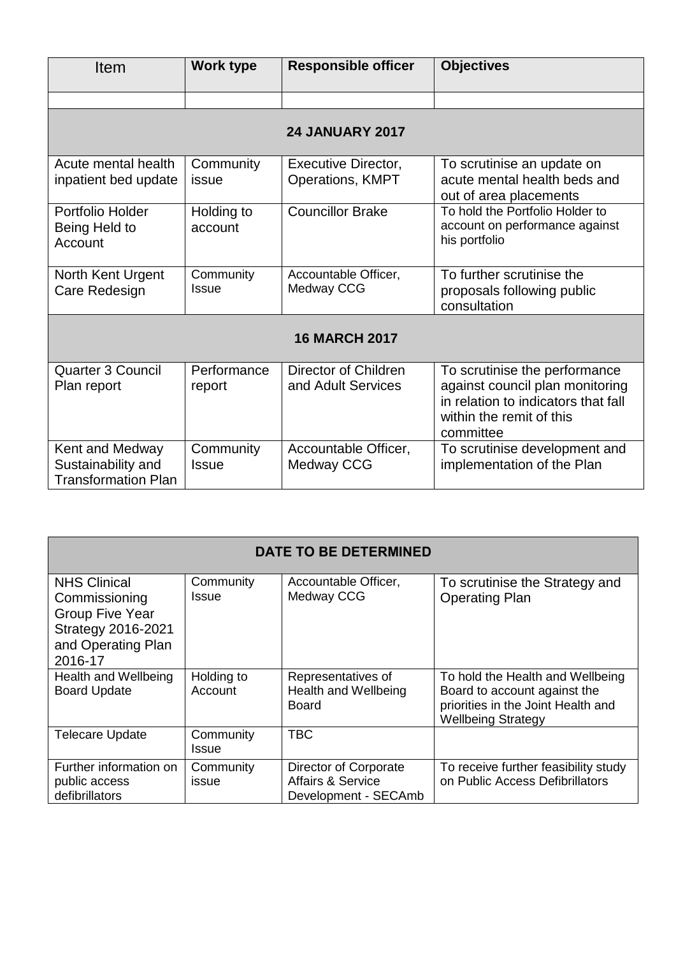| Item                                                                | Work type                 | <b>Responsible officer</b>                     | <b>Objectives</b>                                                                                                                                |  |
|---------------------------------------------------------------------|---------------------------|------------------------------------------------|--------------------------------------------------------------------------------------------------------------------------------------------------|--|
|                                                                     |                           |                                                |                                                                                                                                                  |  |
|                                                                     |                           | <b>24 JANUARY 2017</b>                         |                                                                                                                                                  |  |
| Acute mental health<br>inpatient bed update                         | Community<br>issue        | <b>Executive Director,</b><br>Operations, KMPT | To scrutinise an update on<br>acute mental health beds and<br>out of area placements                                                             |  |
| Portfolio Holder<br>Being Held to<br>Account                        | Holding to<br>account     | <b>Councillor Brake</b>                        | To hold the Portfolio Holder to<br>account on performance against<br>his portfolio                                                               |  |
| North Kent Urgent<br>Care Redesign                                  | Community<br><b>Issue</b> | Accountable Officer,<br>Medway CCG             | To further scrutinise the<br>proposals following public<br>consultation                                                                          |  |
| <b>16 MARCH 2017</b>                                                |                           |                                                |                                                                                                                                                  |  |
| Quarter 3 Council<br>Plan report                                    | Performance<br>report     | Director of Children<br>and Adult Services     | To scrutinise the performance<br>against council plan monitoring<br>in relation to indicators that fall<br>within the remit of this<br>committee |  |
| Kent and Medway<br>Sustainability and<br><b>Transformation Plan</b> | Community<br><b>Issue</b> | Accountable Officer,<br><b>Medway CCG</b>      | To scrutinise development and<br>implementation of the Plan                                                                                      |  |

| <b>DATE TO BE DETERMINED</b>                                                                                                 |                       |                                                                               |                                                                                                                                     |
|------------------------------------------------------------------------------------------------------------------------------|-----------------------|-------------------------------------------------------------------------------|-------------------------------------------------------------------------------------------------------------------------------------|
| <b>NHS Clinical</b><br>Commissioning<br><b>Group Five Year</b><br><b>Strategy 2016-2021</b><br>and Operating Plan<br>2016-17 | Community<br>Issue    | Accountable Officer,<br>Medway CCG                                            | To scrutinise the Strategy and<br><b>Operating Plan</b>                                                                             |
| Health and Wellbeing<br><b>Board Update</b>                                                                                  | Holding to<br>Account | Representatives of<br>Health and Wellbeing<br><b>Board</b>                    | To hold the Health and Wellbeing<br>Board to account against the<br>priorities in the Joint Health and<br><b>Wellbeing Strategy</b> |
| <b>Telecare Update</b>                                                                                                       | Community<br>Issue    | <b>TBC</b>                                                                    |                                                                                                                                     |
| Further information on<br>public access<br>defibrillators                                                                    | Community<br>issue    | Director of Corporate<br><b>Affairs &amp; Service</b><br>Development - SECAmb | To receive further feasibility study<br>on Public Access Defibrillators                                                             |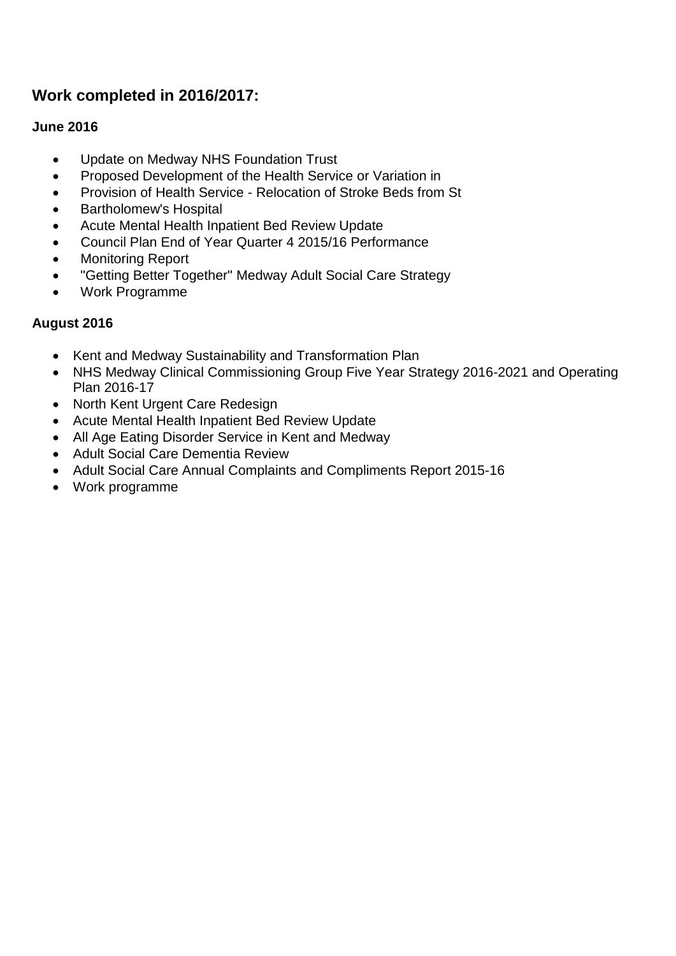# **Work completed in 2016/2017:**

## **June 2016**

- Update on Medway NHS Foundation Trust
- Proposed Development of the Health Service or Variation in
- Provision of Health Service Relocation of Stroke Beds from St
- Bartholomew's Hospital
- Acute Mental Health Inpatient Bed Review Update
- Council Plan End of Year Quarter 4 2015/16 Performance
- Monitoring Report
- "Getting Better Together" Medway Adult Social Care Strategy
- Work Programme

## **August 2016**

- Kent and Medway Sustainability and Transformation Plan
- NHS Medway Clinical Commissioning Group Five Year Strategy 2016-2021 and Operating Plan 2016-17
- North Kent Urgent Care Redesign
- Acute Mental Health Inpatient Bed Review Update
- All Age Eating Disorder Service in Kent and Medway
- Adult Social Care Dementia Review
- Adult Social Care Annual Complaints and Compliments Report 2015-16
- Work programme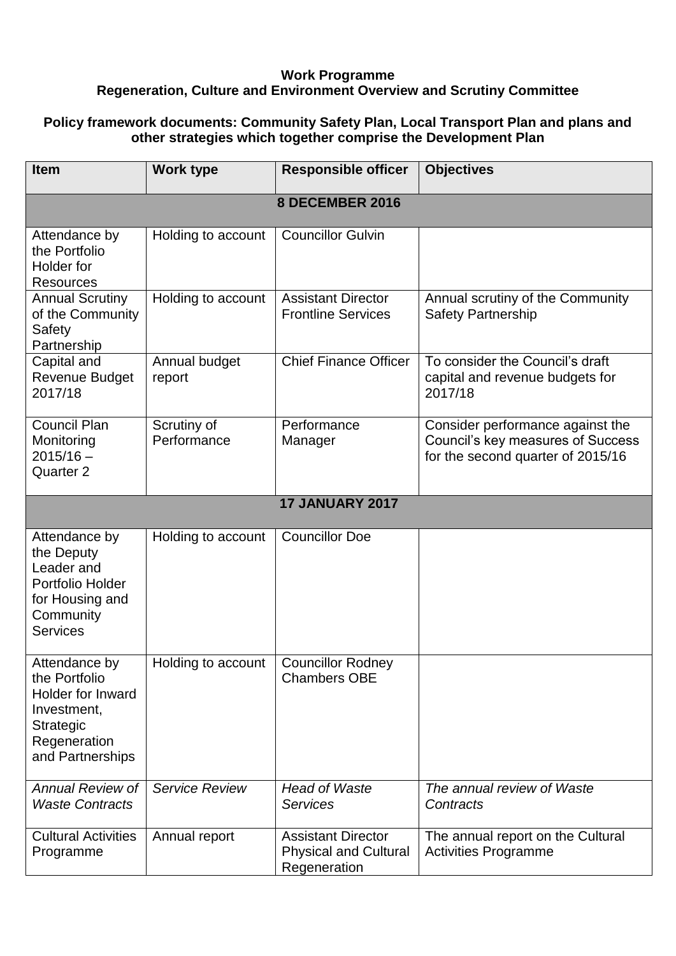### **Work Programme Regeneration, Culture and Environment Overview and Scrutiny Committee**

### **Policy framework documents: Community Safety Plan, Local Transport Plan and plans and other strategies which together comprise the Development Plan**

| <b>Item</b>                                                                                                                       | <b>Work type</b>           | <b>Responsible officer</b>                                                | <b>Objectives</b>                                                                                          |
|-----------------------------------------------------------------------------------------------------------------------------------|----------------------------|---------------------------------------------------------------------------|------------------------------------------------------------------------------------------------------------|
| 8 DECEMBER 2016                                                                                                                   |                            |                                                                           |                                                                                                            |
| Attendance by<br>the Portfolio<br>Holder for<br><b>Resources</b>                                                                  | Holding to account         | <b>Councillor Gulvin</b>                                                  |                                                                                                            |
| <b>Annual Scrutiny</b><br>of the Community<br>Safety<br>Partnership                                                               | Holding to account         | <b>Assistant Director</b><br><b>Frontline Services</b>                    | Annual scrutiny of the Community<br><b>Safety Partnership</b>                                              |
| Capital and<br><b>Revenue Budget</b><br>2017/18                                                                                   | Annual budget<br>report    | <b>Chief Finance Officer</b>                                              | To consider the Council's draft<br>capital and revenue budgets for<br>2017/18                              |
| <b>Council Plan</b><br>Monitoring<br>$2015/16 -$<br>Quarter <sub>2</sub>                                                          | Scrutiny of<br>Performance | Performance<br>Manager                                                    | Consider performance against the<br>Council's key measures of Success<br>for the second quarter of 2015/16 |
|                                                                                                                                   |                            | <b>17 JANUARY 2017</b>                                                    |                                                                                                            |
| Attendance by<br>the Deputy<br>Leader and<br>Portfolio Holder<br>for Housing and<br>Community<br><b>Services</b>                  | Holding to account         | <b>Councillor Doe</b>                                                     |                                                                                                            |
| Attendance by<br>the Portfolio<br><b>Holder for Inward</b><br>Investment,<br><b>Strategic</b><br>Regeneration<br>and Partnerships | Holding to account         | <b>Councillor Rodney</b><br><b>Chambers OBE</b>                           |                                                                                                            |
| <b>Annual Review of</b><br><b>Waste Contracts</b>                                                                                 | <b>Service Review</b>      | <b>Head of Waste</b><br><b>Services</b>                                   | The annual review of Waste<br>Contracts                                                                    |
| <b>Cultural Activities</b><br>Programme                                                                                           | Annual report              | <b>Assistant Director</b><br><b>Physical and Cultural</b><br>Regeneration | The annual report on the Cultural<br><b>Activities Programme</b>                                           |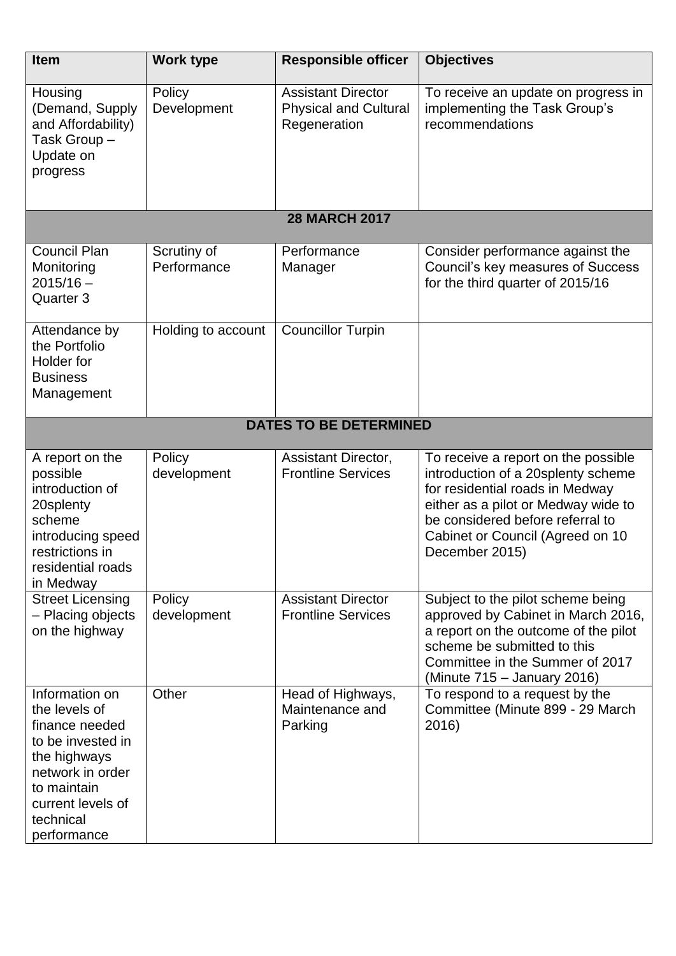| <b>Item</b>                                                                                                                                                                | Work type                  | <b>Responsible officer</b>                                                | <b>Objectives</b>                                                                                                                                                                                                                             |
|----------------------------------------------------------------------------------------------------------------------------------------------------------------------------|----------------------------|---------------------------------------------------------------------------|-----------------------------------------------------------------------------------------------------------------------------------------------------------------------------------------------------------------------------------------------|
| Housing<br>(Demand, Supply<br>and Affordability)<br>Task Group-<br>Update on<br>progress                                                                                   | Policy<br>Development      | <b>Assistant Director</b><br><b>Physical and Cultural</b><br>Regeneration | To receive an update on progress in<br>implementing the Task Group's<br>recommendations                                                                                                                                                       |
|                                                                                                                                                                            |                            | <b>28 MARCH 2017</b>                                                      |                                                                                                                                                                                                                                               |
| <b>Council Plan</b><br>Monitoring<br>$2015/16 -$<br>Quarter 3                                                                                                              | Scrutiny of<br>Performance | Performance<br>Manager                                                    | Consider performance against the<br>Council's key measures of Success<br>for the third quarter of 2015/16                                                                                                                                     |
| Attendance by<br>the Portfolio<br>Holder for<br><b>Business</b><br>Management                                                                                              | Holding to account         | <b>Councillor Turpin</b>                                                  |                                                                                                                                                                                                                                               |
|                                                                                                                                                                            |                            | <b>DATES TO BE DETERMINED</b>                                             |                                                                                                                                                                                                                                               |
| A report on the<br>possible<br>introduction of<br>20splenty<br>scheme<br>introducing speed<br>restrictions in<br>residential roads<br>in Medway                            | Policy<br>development      | Assistant Director,<br><b>Frontline Services</b>                          | To receive a report on the possible<br>introduction of a 20splenty scheme<br>for residential roads in Medway<br>either as a pilot or Medway wide to<br>be considered before referral to<br>Cabinet or Council (Agreed on 10<br>December 2015) |
| <b>Street Licensing</b><br>- Placing objects<br>on the highway                                                                                                             | Policy<br>development      | <b>Assistant Director</b><br><b>Frontline Services</b>                    | Subject to the pilot scheme being<br>approved by Cabinet in March 2016,<br>a report on the outcome of the pilot<br>scheme be submitted to this<br>Committee in the Summer of 2017<br>(Minute 715 – January 2016)                              |
| Information on<br>the levels of<br>finance needed<br>to be invested in<br>the highways<br>network in order<br>to maintain<br>current levels of<br>technical<br>performance | Other                      | Head of Highways,<br>Maintenance and<br>Parking                           | To respond to a request by the<br>Committee (Minute 899 - 29 March<br>2016)                                                                                                                                                                   |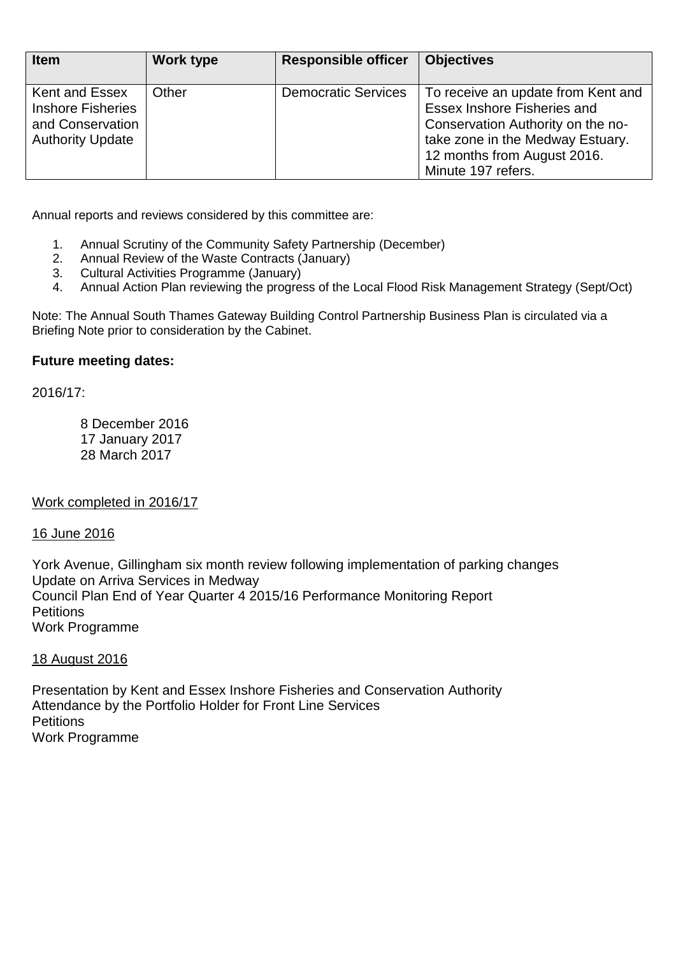| <b>Item</b>                                                                               | <b>Work type</b> | <b>Responsible officer</b> | <b>Objectives</b>                                                                                                                                                                                      |
|-------------------------------------------------------------------------------------------|------------------|----------------------------|--------------------------------------------------------------------------------------------------------------------------------------------------------------------------------------------------------|
| Kent and Essex<br><b>Inshore Fisheries</b><br>and Conservation<br><b>Authority Update</b> | Other            | <b>Democratic Services</b> | To receive an update from Kent and<br><b>Essex Inshore Fisheries and</b><br>Conservation Authority on the no-<br>take zone in the Medway Estuary.<br>12 months from August 2016.<br>Minute 197 refers. |

Annual reports and reviews considered by this committee are:

- 1. Annual Scrutiny of the Community Safety Partnership (December)
- 2. Annual Review of the Waste Contracts (January)
- 3. Cultural Activities Programme (January)
- 4. Annual Action Plan reviewing the progress of the Local Flood Risk Management Strategy (Sept/Oct)

Note: The Annual South Thames Gateway Building Control Partnership Business Plan is circulated via a Briefing Note prior to consideration by the Cabinet.

#### **Future meeting dates:**

2016/17:

8 December 2016 17 January 2017 28 March 2017

Work completed in 2016/17

#### 16 June 2016

York Avenue, Gillingham six month review following implementation of parking changes Update on Arriva Services in Medway Council Plan End of Year Quarter 4 2015/16 Performance Monitoring Report **Petitions** Work Programme

#### 18 August 2016

Presentation by Kent and Essex Inshore Fisheries and Conservation Authority Attendance by the Portfolio Holder for Front Line Services **Petitions** Work Programme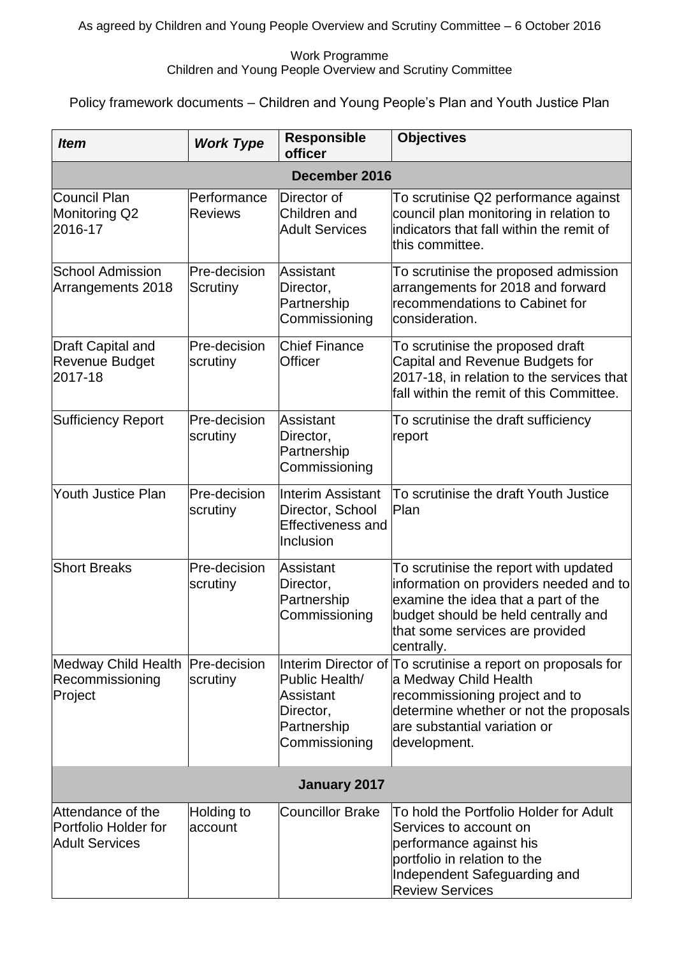### Work Programme Children and Young People Overview and Scrutiny Committee

Policy framework documents – Children and Young People's Plan and Youth Justice Plan

| <b>Item</b>                                                        | <b>Work Type</b>              | <b>Responsible</b><br>officer                                                         | <b>Objectives</b>                                                                                                                                                                                                |  |
|--------------------------------------------------------------------|-------------------------------|---------------------------------------------------------------------------------------|------------------------------------------------------------------------------------------------------------------------------------------------------------------------------------------------------------------|--|
| December 2016                                                      |                               |                                                                                       |                                                                                                                                                                                                                  |  |
| Council Plan<br>Monitoring Q2<br>2016-17                           | Performance<br><b>Reviews</b> | Director of<br>Children and<br><b>Adult Services</b>                                  | To scrutinise Q2 performance against<br>council plan monitoring in relation to<br>indicators that fall within the remit of<br>this committee.                                                                    |  |
| <b>School Admission</b><br>Arrangements 2018                       | Pre-decision<br>Scrutiny      | Assistant<br>Director,<br>Partnership<br>Commissioning                                | To scrutinise the proposed admission<br>arrangements for 2018 and forward<br>recommendations to Cabinet for<br>consideration.                                                                                    |  |
| <b>Draft Capital and</b><br><b>Revenue Budget</b><br>2017-18       | Pre-decision<br>scrutiny      | <b>Chief Finance</b><br>Officer                                                       | To scrutinise the proposed draft<br>Capital and Revenue Budgets for<br>2017-18, in relation to the services that<br>fall within the remit of this Committee.                                                     |  |
| <b>Sufficiency Report</b>                                          | Pre-decision<br>scrutiny      | <b>Assistant</b><br>Director,<br>Partnership<br>Commissioning                         | To scrutinise the draft sufficiency<br>report                                                                                                                                                                    |  |
| <b>Youth Justice Plan</b>                                          | Pre-decision<br>scrutiny      | <b>Interim Assistant</b><br>Director, School<br><b>Effectiveness and</b><br>Inclusion | To scrutinise the draft Youth Justice<br><b>Plan</b>                                                                                                                                                             |  |
| <b>Short Breaks</b>                                                | Pre-decision<br>scrutiny      | Assistant<br>Director,<br>Partnership<br>Commissioning                                | To scrutinise the report with updated<br>information on providers needed and to<br>examine the idea that a part of the<br>budget should be held centrally and<br>that some services are provided<br>centrally.   |  |
| Medway Child Health<br>Recommissioning<br>Project                  | Pre-decision<br>scrutiny      | Public Health/<br>Assistant<br>Director,<br>Partnership<br>Commissioning              | Interim Director of To scrutinise a report on proposals for<br>a Medway Child Health<br>recommissioning project and to<br>determine whether or not the proposals<br>are substantial variation or<br>development. |  |
|                                                                    |                               | January 2017                                                                          |                                                                                                                                                                                                                  |  |
| Attendance of the<br>Portfolio Holder for<br><b>Adult Services</b> | Holding to<br>account         | <b>Councillor Brake</b>                                                               | To hold the Portfolio Holder for Adult<br>Services to account on<br>performance against his<br>portfolio in relation to the<br>Independent Safeguarding and<br><b>Review Services</b>                            |  |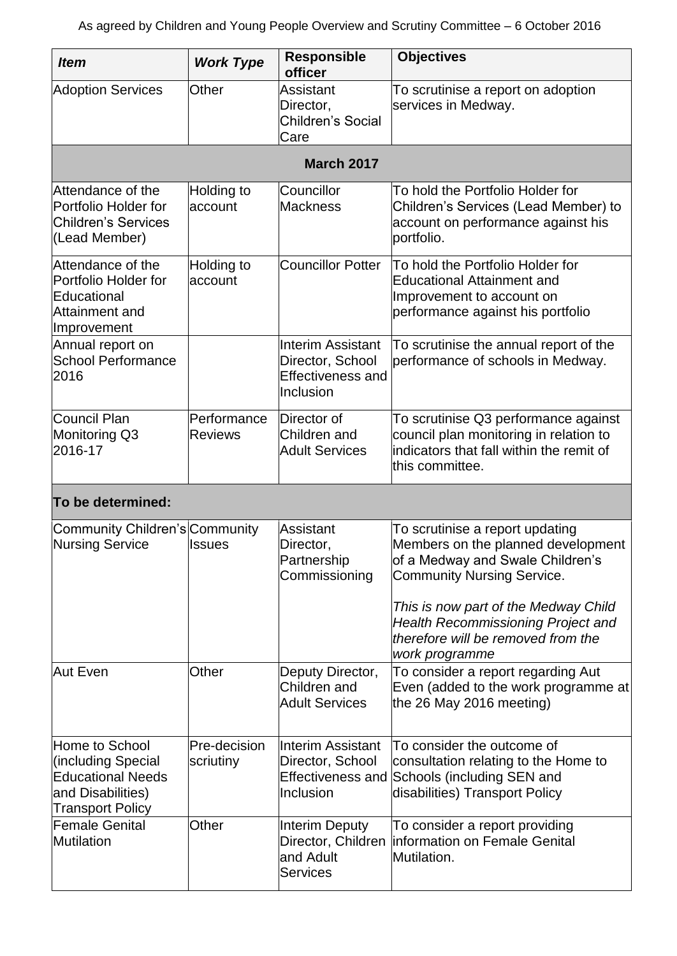| <b>Item</b>                                                                                                      | <b>Work Type</b>              | <b>Responsible</b><br>officer                                                         | <b>Objectives</b>                                                                                                                                                                                                                                                         |
|------------------------------------------------------------------------------------------------------------------|-------------------------------|---------------------------------------------------------------------------------------|---------------------------------------------------------------------------------------------------------------------------------------------------------------------------------------------------------------------------------------------------------------------------|
| <b>Adoption Services</b>                                                                                         | Other                         | Assistant<br>Director,<br>Children's Social<br>Care                                   | To scrutinise a report on adoption<br>services in Medway.                                                                                                                                                                                                                 |
|                                                                                                                  |                               | <b>March 2017</b>                                                                     |                                                                                                                                                                                                                                                                           |
| Attendance of the<br>Portfolio Holder for<br><b>Children's Services</b><br>(Lead Member)                         | Holding to<br>account         | Councillor<br><b>Mackness</b>                                                         | To hold the Portfolio Holder for<br>Children's Services (Lead Member) to<br>account on performance against his<br>portfolio.                                                                                                                                              |
| Attendance of the<br>Portfolio Holder for<br>Educational<br>Attainment and<br>Improvement                        | Holding to<br>account         | <b>Councillor Potter</b>                                                              | To hold the Portfolio Holder for<br><b>Educational Attainment and</b><br>Improvement to account on<br>performance against his portfolio                                                                                                                                   |
| Annual report on<br><b>School Performance</b><br>2016                                                            |                               | <b>Interim Assistant</b><br>Director, School<br><b>Effectiveness and</b><br>Inclusion | To scrutinise the annual report of the<br>performance of schools in Medway.                                                                                                                                                                                               |
| <b>Council Plan</b><br>Monitoring Q3<br>2016-17                                                                  | Performance<br><b>Reviews</b> | Director of<br>Children and<br><b>Adult Services</b>                                  | To scrutinise Q3 performance against<br>council plan monitoring in relation to<br>indicators that fall within the remit of<br>this committee.                                                                                                                             |
| To be determined:                                                                                                |                               |                                                                                       |                                                                                                                                                                                                                                                                           |
| Community Children's Community<br><b>Nursing Service</b>                                                         | <b>Issues</b>                 | Assistant<br>Director,<br>Partnership<br>Commissioning                                | To scrutinise a report updating<br>Members on the planned development<br>of a Medway and Swale Children's<br><b>Community Nursing Service.</b><br>This is now part of the Medway Child<br><b>Health Recommissioning Project and</b><br>therefore will be removed from the |
| Aut Even                                                                                                         | Other                         | Deputy Director,<br>Children and<br><b>Adult Services</b>                             | work programme<br>To consider a report regarding Aut<br>Even (added to the work programme at<br>the 26 May 2016 meeting)                                                                                                                                                  |
| Home to School<br>(including Special<br><b>Educational Needs</b><br>and Disabilities)<br><b>Transport Policy</b> | Pre-decision<br>scriutiny     | <b>Interim Assistant</b><br>Director, School<br>Inclusion                             | To consider the outcome of<br>consultation relating to the Home to<br>Effectiveness and Schools (including SEN and<br>disabilities) Transport Policy                                                                                                                      |
| <b>Female Genital</b><br>Mutilation                                                                              | Other                         | <b>Interim Deputy</b><br>Director, Children<br>and Adult<br><b>Services</b>           | To consider a report providing<br>linformation on Female Genital<br>Mutilation.                                                                                                                                                                                           |